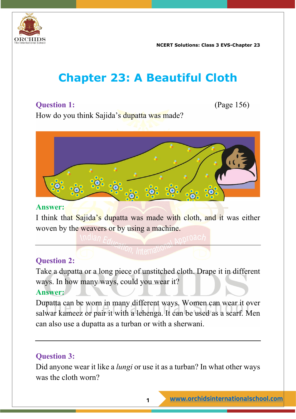

**NCERT Solutions: Class 3 EVS-Chapter 23**

# **Chapter 23: A Beautiful Cloth**

# **Question 1:** (Page 156)

How do you think Sajida's dupatta was made?



#### **Answer:**

I think that Sajida's dupatta was made with cloth, and it was either woven by the weavers or by using a machine.

## **Question 2:**

Take a dupatta or a long piece of unstitched cloth. Drape it in different ways. In how many ways, could you wear it? **Answer:**

Dupatta can be worn in many different ways. Women can wear it over salwar kameez or pair it with a lehenga. It can be used as a scarf. Men can also use a dupatta as a turban or with a sherwani.

# **Question 3:**

Did anyone wear it like a *lungi* or use it as a turban? In what other ways was the cloth worn?